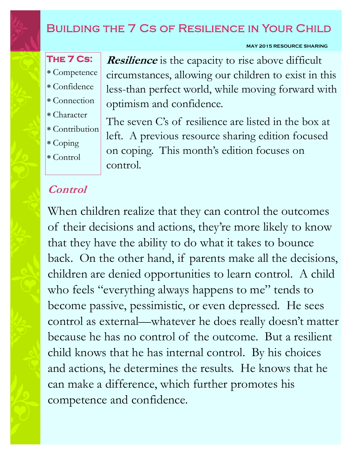## BUILDING THE 7 CS OF RESILIENCE IN YOUR CHILD

#### **MAY 2015 RESOURCE SHARING**

- **The 7 Cs:**  Competence Confidence
- Connection
- Character
- Contribution
- 
- Coping
- Control

**Resilience** is the capacity to rise above difficult circumstances, allowing our children to exist in this less-than perfect world, while moving forward with optimism and confidence.

The seven C's of resilience are listed in the box at left. A previous resource sharing edition focused on coping. This month's edition focuses on control.

### **Control**

When children realize that they can control the outcomes of their decisions and actions, they're more likely to know that they have the ability to do what it takes to bounce back. On the other hand, if parents make all the decisions, children are denied opportunities to learn control. A child who feels "everything always happens to me" tends to become passive, pessimistic, or even depressed. He sees control as external—whatever he does really doesn't matter because he has no control of the outcome. But a resilient child knows that he has internal control. By his choices and actions, he determines the results. He knows that he can make a difference, which further promotes his competence and confidence.